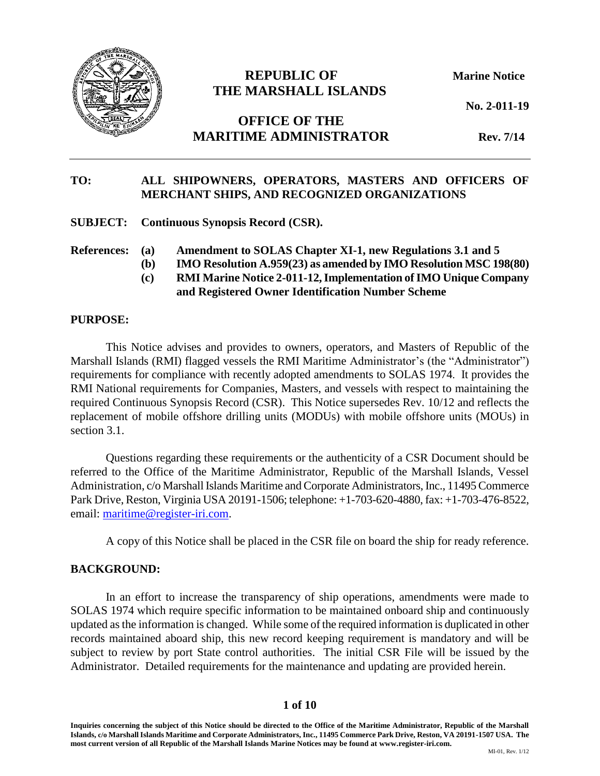

# **REPUBLIC OF Marine Notice THE MARSHALL ISLANDS**

**No. 2-011-19**

# **OFFICE OF THE MARITIME ADMINISTRATOR Rev. 7/14**

# **TO: ALL SHIPOWNERS, OPERATORS, MASTERS AND OFFICERS OF MERCHANT SHIPS, AND RECOGNIZED ORGANIZATIONS**

**SUBJECT: Continuous Synopsis Record (CSR).**

**References: (a) Amendment to SOLAS Chapter XI-1, new Regulations 3.1 and 5**

- **(b) IMO Resolution A.959(23) as amended by IMO Resolution MSC 198(80)**
- **(c) RMI Marine Notice 2-011-12, Implementation of IMO Unique Company and Registered Owner Identification Number Scheme**

#### **PURPOSE:**

This Notice advises and provides to owners, operators, and Masters of Republic of the Marshall Islands (RMI) flagged vessels the RMI Maritime Administrator's (the "Administrator") requirements for compliance with recently adopted amendments to SOLAS 1974. It provides the RMI National requirements for Companies, Masters, and vessels with respect to maintaining the required Continuous Synopsis Record (CSR). This Notice supersedes Rev. 10/12 and reflects the replacement of mobile offshore drilling units (MODUs) with mobile offshore units (MOUs) in section 3.1.

Questions regarding these requirements or the authenticity of a CSR Document should be referred to the Office of the Maritime Administrator, Republic of the Marshall Islands, Vessel Administration, c/o Marshall Islands Maritime and Corporate Administrators, Inc., 11495 Commerce Park Drive, Reston, Virginia USA 20191-1506; telephone: +1-703-620-4880, fax: +1-703-476-8522, email: [maritime@register-iri.com.](mailto:maritime@register-iri.com)

A copy of this Notice shall be placed in the CSR file on board the ship for ready reference.

#### **BACKGROUND:**

In an effort to increase the transparency of ship operations, amendments were made to SOLAS 1974 which require specific information to be maintained onboard ship and continuously updated as the information is changed. While some of the required information is duplicated in other records maintained aboard ship, this new record keeping requirement is mandatory and will be subject to review by port State control authorities. The initial CSR File will be issued by the Administrator. Detailed requirements for the maintenance and updating are provided herein.

#### **1 of 10**

**Inquiries concerning the subject of this Notice should be directed to the Office of the Maritime Administrator, Republic of the Marshall Islands, c/o Marshall Islands Maritime and Corporate Administrators, Inc., 11495 Commerce Park Drive, Reston, VA 20191-1507 USA. The most current version of all Republic of the Marshall Islands Marine Notices may be found at www.register-iri.com.**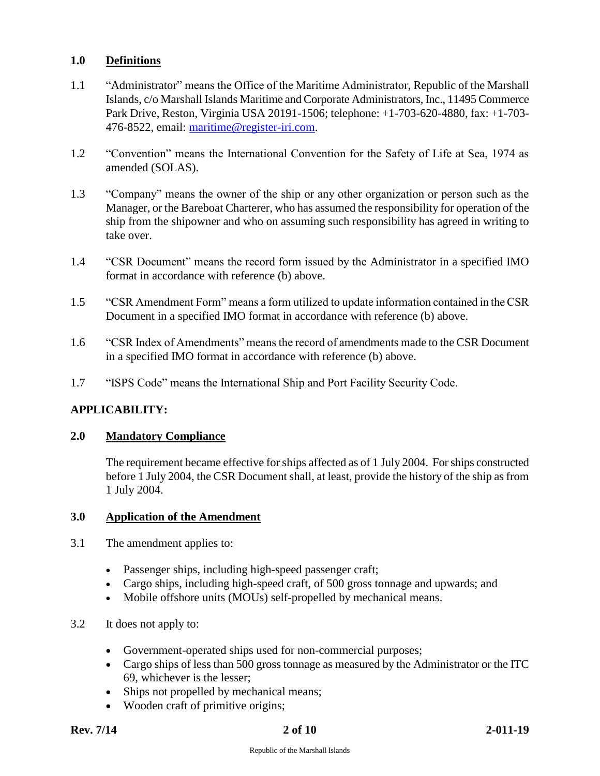## **1.0 Definitions**

- 1.1 "Administrator" means the Office of the Maritime Administrator, Republic of the Marshall Islands, c/o Marshall Islands Maritime and Corporate Administrators, Inc., 11495 Commerce Park Drive, Reston, Virginia USA 20191-1506; telephone: +1-703-620-4880, fax: +1-703- 476-8522, email: [maritime@register-iri.com.](mailto:maritime@register-iri.com)
- 1.2 "Convention" means the International Convention for the Safety of Life at Sea, 1974 as amended (SOLAS).
- 1.3 "Company" means the owner of the ship or any other organization or person such as the Manager, or the Bareboat Charterer, who has assumed the responsibility for operation of the ship from the shipowner and who on assuming such responsibility has agreed in writing to take over.
- 1.4 "CSR Document" means the record form issued by the Administrator in a specified IMO format in accordance with reference (b) above.
- 1.5 "CSR Amendment Form" means a form utilized to update information contained in the CSR Document in a specified IMO format in accordance with reference (b) above.
- 1.6 "CSR Index of Amendments" means the record of amendments made to the CSR Document in a specified IMO format in accordance with reference (b) above.
- 1.7 "ISPS Code" means the International Ship and Port Facility Security Code.

# **APPLICABILITY:**

## **2.0 Mandatory Compliance**

The requirement became effective for ships affected as of 1 July 2004. For ships constructed before 1 July 2004, the CSR Document shall, at least, provide the history of the ship as from 1 July 2004.

### **3.0 Application of the Amendment**

- 3.1 The amendment applies to:
	- Passenger ships, including high-speed passenger craft;
	- Cargo ships, including high-speed craft, of 500 gross tonnage and upwards; and
	- Mobile offshore units (MOUs) self-propelled by mechanical means.
- 3.2 It does not apply to:
	- Government-operated ships used for non-commercial purposes;
	- Cargo ships of less than 500 gross tonnage as measured by the Administrator or the ITC 69, whichever is the lesser;
	- Ships not propelled by mechanical means;
	- Wooden craft of primitive origins;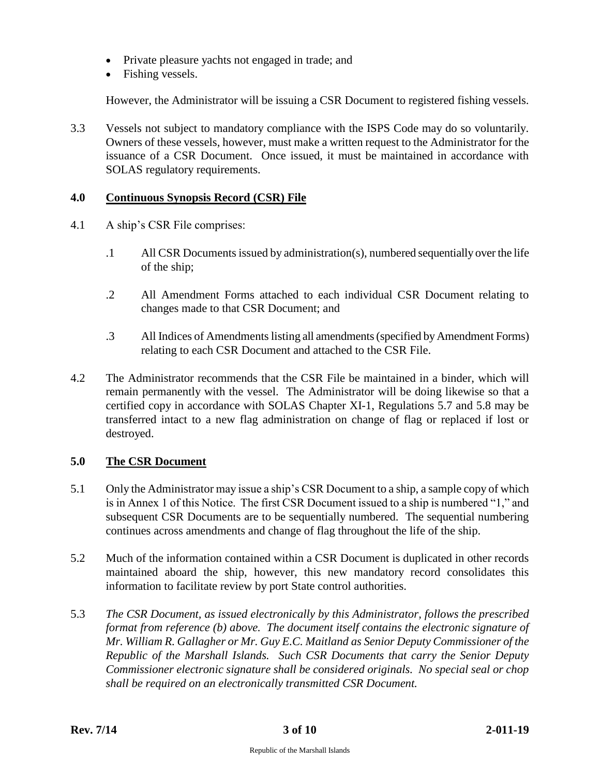- Private pleasure yachts not engaged in trade; and
- Fishing vessels.

However, the Administrator will be issuing a CSR Document to registered fishing vessels.

3.3 Vessels not subject to mandatory compliance with the ISPS Code may do so voluntarily. Owners of these vessels, however, must make a written request to the Administrator for the issuance of a CSR Document. Once issued, it must be maintained in accordance with SOLAS regulatory requirements.

## **4.0 Continuous Synopsis Record (CSR) File**

- 4.1 A ship's CSR File comprises:
	- .1 All CSR Documents issued by administration(s), numbered sequentially over the life of the ship;
	- .2 All Amendment Forms attached to each individual CSR Document relating to changes made to that CSR Document; and
	- .3 All Indices of Amendments listing all amendments (specified by Amendment Forms) relating to each CSR Document and attached to the CSR File.
- 4.2 The Administrator recommends that the CSR File be maintained in a binder, which will remain permanently with the vessel. The Administrator will be doing likewise so that a certified copy in accordance with SOLAS Chapter XI-1, Regulations 5.7 and 5.8 may be transferred intact to a new flag administration on change of flag or replaced if lost or destroyed.

# **5.0 The CSR Document**

- 5.1 Only the Administrator may issue a ship's CSR Document to a ship, a sample copy of which is in Annex 1 of this Notice. The first CSR Document issued to a ship is numbered "1," and subsequent CSR Documents are to be sequentially numbered. The sequential numbering continues across amendments and change of flag throughout the life of the ship.
- 5.2 Much of the information contained within a CSR Document is duplicated in other records maintained aboard the ship, however, this new mandatory record consolidates this information to facilitate review by port State control authorities.
- 5.3 *The CSR Document, as issued electronically by this Administrator, follows the prescribed format from reference (b) above. The document itself contains the electronic signature of Mr. William R. Gallagher or Mr. Guy E.C. Maitland as Senior Deputy Commissioner of the Republic of the Marshall Islands. Such CSR Documents that carry the Senior Deputy Commissioner electronic signature shall be considered originals. No special seal or chop shall be required on an electronically transmitted CSR Document.*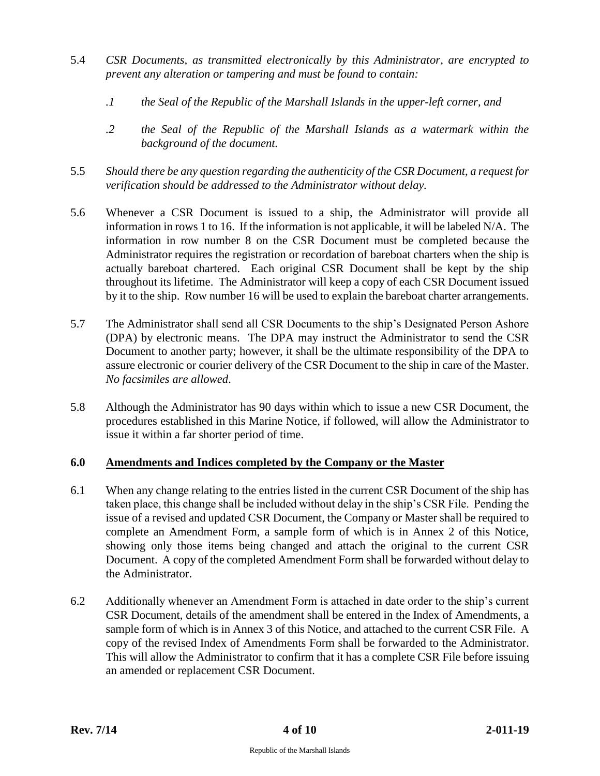- 5.4 *CSR Documents, as transmitted electronically by this Administrator, are encrypted to prevent any alteration or tampering and must be found to contain:*
	- *.1 the Seal of the Republic of the Marshall Islands in the upper-left corner, and*
	- *.2 the Seal of the Republic of the Marshall Islands as a watermark within the background of the document.*
- 5.5 *Should there be any question regarding the authenticity of the CSR Document, a request for verification should be addressed to the Administrator without delay.*
- 5.6 Whenever a CSR Document is issued to a ship, the Administrator will provide all information in rows 1 to 16. If the information is not applicable, it will be labeled N/A. The information in row number 8 on the CSR Document must be completed because the Administrator requires the registration or recordation of bareboat charters when the ship is actually bareboat chartered. Each original CSR Document shall be kept by the ship throughout its lifetime. The Administrator will keep a copy of each CSR Document issued by it to the ship. Row number 16 will be used to explain the bareboat charter arrangements.
- 5.7 The Administrator shall send all CSR Documents to the ship's Designated Person Ashore (DPA) by electronic means. The DPA may instruct the Administrator to send the CSR Document to another party; however, it shall be the ultimate responsibility of the DPA to assure electronic or courier delivery of the CSR Document to the ship in care of the Master. *No facsimiles are allowed*.
- 5.8 Although the Administrator has 90 days within which to issue a new CSR Document, the procedures established in this Marine Notice, if followed, will allow the Administrator to issue it within a far shorter period of time.

# **6.0 Amendments and Indices completed by the Company or the Master**

- 6.1 When any change relating to the entries listed in the current CSR Document of the ship has taken place, this change shall be included without delay in the ship's CSR File. Pending the issue of a revised and updated CSR Document, the Company or Master shall be required to complete an Amendment Form, a sample form of which is in Annex 2 of this Notice, showing only those items being changed and attach the original to the current CSR Document. A copy of the completed Amendment Form shall be forwarded without delay to the Administrator.
- 6.2 Additionally whenever an Amendment Form is attached in date order to the ship's current CSR Document, details of the amendment shall be entered in the Index of Amendments, a sample form of which is in Annex 3 of this Notice, and attached to the current CSR File. A copy of the revised Index of Amendments Form shall be forwarded to the Administrator. This will allow the Administrator to confirm that it has a complete CSR File before issuing an amended or replacement CSR Document.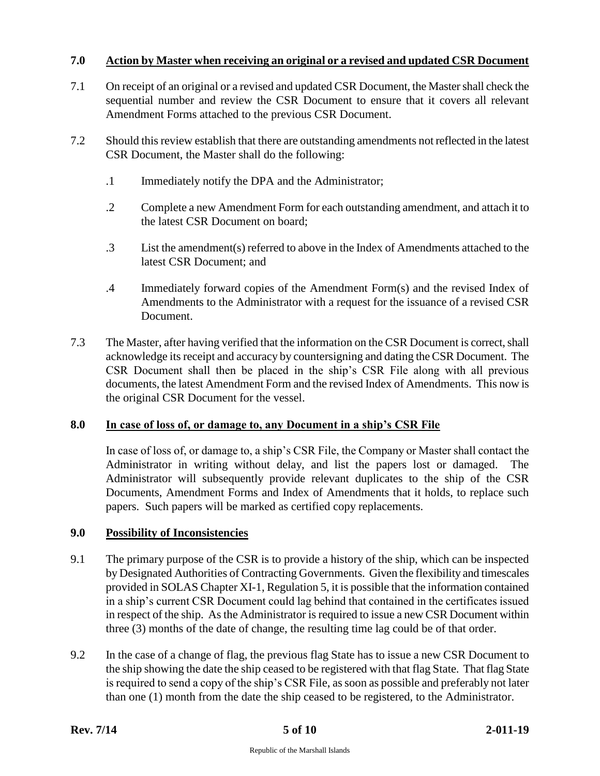# **7.0 Action by Master when receiving an original or a revised and updated CSR Document**

- 7.1 On receipt of an original or a revised and updated CSR Document, the Master shall check the sequential number and review the CSR Document to ensure that it covers all relevant Amendment Forms attached to the previous CSR Document.
- 7.2 Should this review establish that there are outstanding amendments not reflected in the latest CSR Document, the Master shall do the following:
	- .1 Immediately notify the DPA and the Administrator;
	- .2 Complete a new Amendment Form for each outstanding amendment, and attach it to the latest CSR Document on board;
	- .3 List the amendment(s) referred to above in the Index of Amendments attached to the latest CSR Document; and
	- .4 Immediately forward copies of the Amendment Form(s) and the revised Index of Amendments to the Administrator with a request for the issuance of a revised CSR Document.
- 7.3 The Master, after having verified that the information on the CSR Document is correct, shall acknowledge its receipt and accuracy by countersigning and dating the CSR Document. The CSR Document shall then be placed in the ship's CSR File along with all previous documents, the latest Amendment Form and the revised Index of Amendments. This now is the original CSR Document for the vessel.

#### **8.0 In case of loss of, or damage to, any Document in a ship's CSR File**

In case of loss of, or damage to, a ship's CSR File, the Company or Master shall contact the Administrator in writing without delay, and list the papers lost or damaged. The Administrator will subsequently provide relevant duplicates to the ship of the CSR Documents, Amendment Forms and Index of Amendments that it holds, to replace such papers. Such papers will be marked as certified copy replacements.

#### **9.0 Possibility of Inconsistencies**

- 9.1 The primary purpose of the CSR is to provide a history of the ship, which can be inspected by Designated Authorities of Contracting Governments. Given the flexibility and timescales provided in SOLAS Chapter XI-1, Regulation 5, it is possible that the information contained in a ship's current CSR Document could lag behind that contained in the certificates issued in respect of the ship. As the Administrator is required to issue a new CSR Document within three (3) months of the date of change, the resulting time lag could be of that order.
- 9.2 In the case of a change of flag, the previous flag State has to issue a new CSR Document to the ship showing the date the ship ceased to be registered with that flag State. That flag State is required to send a copy of the ship's CSR File, as soon as possible and preferably not later than one (1) month from the date the ship ceased to be registered, to the Administrator.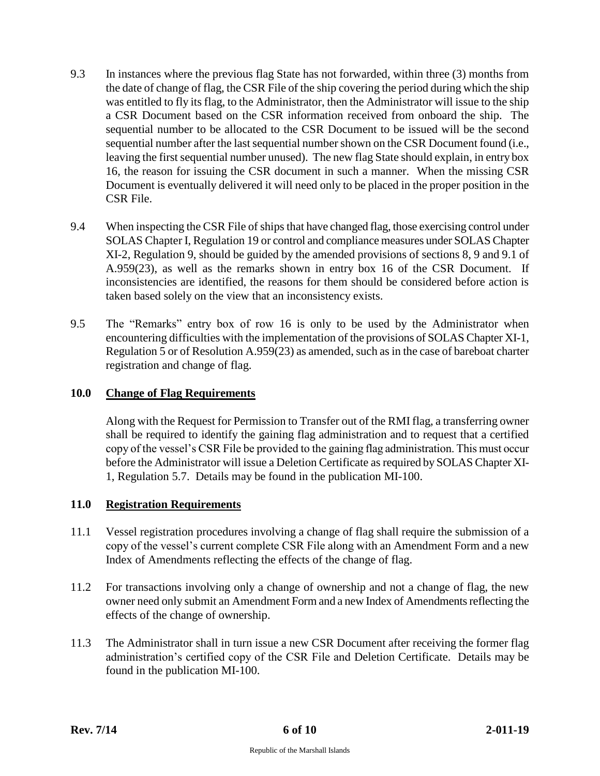- 9.3 In instances where the previous flag State has not forwarded, within three (3) months from the date of change of flag, the CSR File of the ship covering the period during which the ship was entitled to fly its flag, to the Administrator, then the Administrator will issue to the ship a CSR Document based on the CSR information received from onboard the ship. The sequential number to be allocated to the CSR Document to be issued will be the second sequential number after the last sequential number shown on the CSR Document found (i.e., leaving the first sequential number unused). The new flag State should explain, in entry box 16, the reason for issuing the CSR document in such a manner. When the missing CSR Document is eventually delivered it will need only to be placed in the proper position in the CSR File.
- 9.4 When inspecting the CSR File of ships that have changed flag, those exercising control under SOLAS Chapter I, Regulation 19 or control and compliance measures under SOLAS Chapter XI-2, Regulation 9, should be guided by the amended provisions of sections 8, 9 and 9.1 of A.959(23), as well as the remarks shown in entry box 16 of the CSR Document. If inconsistencies are identified, the reasons for them should be considered before action is taken based solely on the view that an inconsistency exists.
- 9.5 The "Remarks" entry box of row 16 is only to be used by the Administrator when encountering difficulties with the implementation of the provisions of SOLAS Chapter XI-1, Regulation 5 or of Resolution A.959(23) as amended, such as in the case of bareboat charter registration and change of flag.

# **10.0 Change of Flag Requirements**

Along with the Request for Permission to Transfer out of the RMI flag, a transferring owner shall be required to identify the gaining flag administration and to request that a certified copy of the vessel's CSR File be provided to the gaining flag administration. This must occur before the Administrator will issue a Deletion Certificate as required by SOLAS Chapter XI-1, Regulation 5.7. Details may be found in the publication MI-100.

#### **11.0 Registration Requirements**

- 11.1 Vessel registration procedures involving a change of flag shall require the submission of a copy of the vessel's current complete CSR File along with an Amendment Form and a new Index of Amendments reflecting the effects of the change of flag.
- 11.2 For transactions involving only a change of ownership and not a change of flag, the new owner need only submit an Amendment Form and a new Index of Amendments reflecting the effects of the change of ownership.
- 11.3 The Administrator shall in turn issue a new CSR Document after receiving the former flag administration's certified copy of the CSR File and Deletion Certificate. Details may be found in the publication MI-100.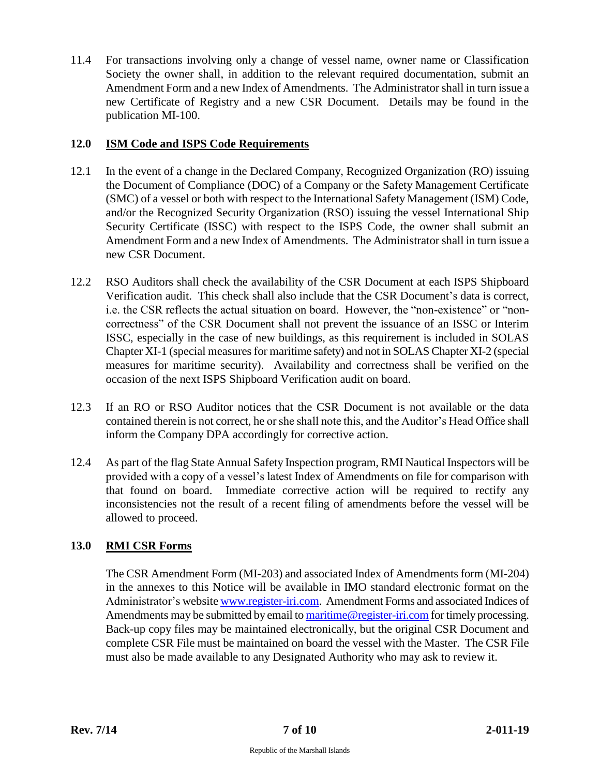11.4 For transactions involving only a change of vessel name, owner name or Classification Society the owner shall, in addition to the relevant required documentation, submit an Amendment Form and a new Index of Amendments. The Administrator shall in turn issue a new Certificate of Registry and a new CSR Document. Details may be found in the publication MI-100.

## **12.0 ISM Code and ISPS Code Requirements**

- 12.1 In the event of a change in the Declared Company, Recognized Organization (RO) issuing the Document of Compliance (DOC) of a Company or the Safety Management Certificate (SMC) of a vessel or both with respect to the International Safety Management (ISM) Code, and/or the Recognized Security Organization (RSO) issuing the vessel International Ship Security Certificate (ISSC) with respect to the ISPS Code, the owner shall submit an Amendment Form and a new Index of Amendments. The Administrator shall in turn issue a new CSR Document.
- 12.2 RSO Auditors shall check the availability of the CSR Document at each ISPS Shipboard Verification audit. This check shall also include that the CSR Document's data is correct, i.e. the CSR reflects the actual situation on board. However, the "non-existence" or "noncorrectness" of the CSR Document shall not prevent the issuance of an ISSC or Interim ISSC, especially in the case of new buildings, as this requirement is included in SOLAS Chapter XI-1 (special measures for maritime safety) and not in SOLAS Chapter XI-2 (special measures for maritime security). Availability and correctness shall be verified on the occasion of the next ISPS Shipboard Verification audit on board.
- 12.3 If an RO or RSO Auditor notices that the CSR Document is not available or the data contained therein is not correct, he or she shall note this, and the Auditor's Head Office shall inform the Company DPA accordingly for corrective action.
- 12.4 As part of the flag State Annual Safety Inspection program, RMI Nautical Inspectors will be provided with a copy of a vessel's latest Index of Amendments on file for comparison with that found on board. Immediate corrective action will be required to rectify any inconsistencies not the result of a recent filing of amendments before the vessel will be allowed to proceed.

# **13.0 RMI CSR Forms**

The CSR Amendment Form (MI-203) and associated Index of Amendments form (MI-204) in the annexes to this Notice will be available in IMO standard electronic format on the Administrator's website [www.register-iri.com.](http://www.register-iri.com/) Amendment Forms and associated Indices of Amendments may be submitted by email t[o maritime@register-iri.com](mailto:maritime@register-iri.com) for timely processing. Back-up copy files may be maintained electronically, but the original CSR Document and complete CSR File must be maintained on board the vessel with the Master. The CSR File must also be made available to any Designated Authority who may ask to review it.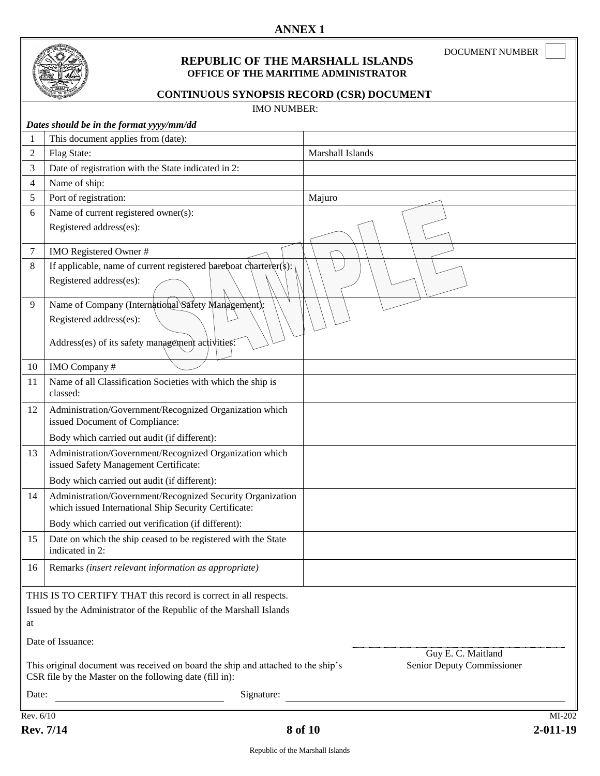

#### **REPUBLIC OF THE MARSHALL ISLANDS OFFICE OF THE MARITIME ADMINISTRATOR**

DOCUMENT NUMBER

# **CONTINUOUS SYNOPSIS RECORD (CSR) DOCUMENT**

| <b>IMO NUMBER:</b>                                                                                                                                                        |                                                                                                                     |                  |  |  |  |
|---------------------------------------------------------------------------------------------------------------------------------------------------------------------------|---------------------------------------------------------------------------------------------------------------------|------------------|--|--|--|
|                                                                                                                                                                           | Dates should be in the format yyyy/mm/dd                                                                            |                  |  |  |  |
| 1                                                                                                                                                                         | This document applies from (date):                                                                                  |                  |  |  |  |
| 2                                                                                                                                                                         | Flag State:                                                                                                         | Marshall Islands |  |  |  |
| 3                                                                                                                                                                         | Date of registration with the State indicated in 2:                                                                 |                  |  |  |  |
| 4                                                                                                                                                                         | Name of ship:                                                                                                       |                  |  |  |  |
| 5                                                                                                                                                                         | Port of registration:                                                                                               | Majuro           |  |  |  |
| 6                                                                                                                                                                         | Name of current registered owner(s):                                                                                |                  |  |  |  |
|                                                                                                                                                                           | Registered address(es):                                                                                             |                  |  |  |  |
| 7                                                                                                                                                                         | IMO Registered Owner #                                                                                              |                  |  |  |  |
| 8                                                                                                                                                                         | If applicable, name of current registered bareboat charterer( $\frac{1}{2}$ ):                                      |                  |  |  |  |
|                                                                                                                                                                           | Registered address(es):                                                                                             |                  |  |  |  |
| 9                                                                                                                                                                         | Name of Company (International Safety Management);                                                                  |                  |  |  |  |
|                                                                                                                                                                           | Registered address(es):                                                                                             |                  |  |  |  |
|                                                                                                                                                                           | Address(es) of its safety management activities:                                                                    |                  |  |  |  |
|                                                                                                                                                                           |                                                                                                                     |                  |  |  |  |
| 10                                                                                                                                                                        | IMO Company#                                                                                                        |                  |  |  |  |
| 11                                                                                                                                                                        | Name of all Classification Societies with which the ship is<br>classed:                                             |                  |  |  |  |
| 12                                                                                                                                                                        | Administration/Government/Recognized Organization which<br>issued Document of Compliance:                           |                  |  |  |  |
|                                                                                                                                                                           | Body which carried out audit (if different):                                                                        |                  |  |  |  |
| 13                                                                                                                                                                        | Administration/Government/Recognized Organization which<br>issued Safety Management Certificate:                    |                  |  |  |  |
|                                                                                                                                                                           | Body which carried out audit (if different):                                                                        |                  |  |  |  |
| 14                                                                                                                                                                        | Administration/Government/Recognized Security Organization<br>which issued International Ship Security Certificate: |                  |  |  |  |
|                                                                                                                                                                           | Body which carried out verification (if different):                                                                 |                  |  |  |  |
| 15                                                                                                                                                                        | Date on which the ship ceased to be registered with the State<br>indicated in 2:                                    |                  |  |  |  |
| 16                                                                                                                                                                        | Remarks (insert relevant information as appropriate)                                                                |                  |  |  |  |
| THIS IS TO CERTIFY THAT this record is correct in all respects.                                                                                                           |                                                                                                                     |                  |  |  |  |
| Issued by the Administrator of the Republic of the Marshall Islands                                                                                                       |                                                                                                                     |                  |  |  |  |
| at                                                                                                                                                                        |                                                                                                                     |                  |  |  |  |
| Date of Issuance:<br>Guy E. C. Maitland                                                                                                                                   |                                                                                                                     |                  |  |  |  |
| Senior Deputy Commissioner<br>This original document was received on board the ship and attached to the ship's<br>CSR file by the Master on the following date (fill in): |                                                                                                                     |                  |  |  |  |
| Date:                                                                                                                                                                     | Signature:                                                                                                          |                  |  |  |  |
| Rev. 6/10<br>MI-202                                                                                                                                                       |                                                                                                                     |                  |  |  |  |
|                                                                                                                                                                           |                                                                                                                     |                  |  |  |  |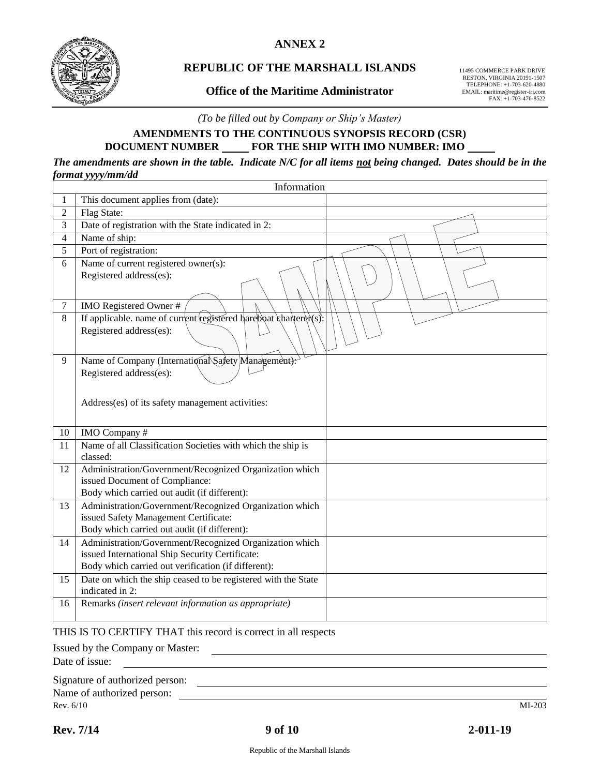**ANNEX 2**



# **REPUBLIC OF THE MARSHALL ISLANDS**

#### **Office of the Maritime Administrator**

11495 COMMERCE PARK DRIVE RESTON, VIRGINIA 20191-1507 TELEPHONE: +1-703-620-4880 EMAIL: maritime@register-iri.com FAX: +1-703-476-8522

*(To be filled out by Company or Ship's Master)*

# **AMENDMENTS TO THE CONTINUOUS SYNOPSIS RECORD (CSR) DOCUMENT NUMBER FOR THE SHIP WITH IMO NUMBER: IMO**

*The amendments are shown in the table. Indicate N/C for all items not being changed. Dates should be in the format yyyy/mm/dd*

| Information    |                                                                                                            |  |  |  |  |  |
|----------------|------------------------------------------------------------------------------------------------------------|--|--|--|--|--|
| 1              | This document applies from (date):                                                                         |  |  |  |  |  |
| $\overline{2}$ | Flag State:                                                                                                |  |  |  |  |  |
| 3              | Date of registration with the State indicated in 2:                                                        |  |  |  |  |  |
| $\overline{4}$ | Name of ship:                                                                                              |  |  |  |  |  |
| 5              | Port of registration:                                                                                      |  |  |  |  |  |
| 6              | Name of current registered owner(s):<br>Registered address(es):                                            |  |  |  |  |  |
| $\tau$         | IMO Registered Owner#                                                                                      |  |  |  |  |  |
| 8              | If applicable, name of current registered bareboat charterer(s):                                           |  |  |  |  |  |
|                | Registered address(es):                                                                                    |  |  |  |  |  |
| 9              | Name of Company (International Safety Management):                                                         |  |  |  |  |  |
|                | Registered address(es):                                                                                    |  |  |  |  |  |
|                |                                                                                                            |  |  |  |  |  |
|                | Address(es) of its safety management activities:                                                           |  |  |  |  |  |
|                |                                                                                                            |  |  |  |  |  |
| 10             | IMO Company#                                                                                               |  |  |  |  |  |
| 11             | Name of all Classification Societies with which the ship is<br>classed:                                    |  |  |  |  |  |
| 12             | Administration/Government/Recognized Organization which                                                    |  |  |  |  |  |
|                | issued Document of Compliance:                                                                             |  |  |  |  |  |
|                | Body which carried out audit (if different):                                                               |  |  |  |  |  |
| 13             | Administration/Government/Recognized Organization which                                                    |  |  |  |  |  |
|                | issued Safety Management Certificate:                                                                      |  |  |  |  |  |
|                | Body which carried out audit (if different):                                                               |  |  |  |  |  |
| 14             | Administration/Government/Recognized Organization which<br>issued International Ship Security Certificate: |  |  |  |  |  |
|                | Body which carried out verification (if different):                                                        |  |  |  |  |  |
| 15             | Date on which the ship ceased to be registered with the State                                              |  |  |  |  |  |
|                | indicated in 2:                                                                                            |  |  |  |  |  |
| 16             | Remarks (insert relevant information as appropriate)                                                       |  |  |  |  |  |
|                |                                                                                                            |  |  |  |  |  |

#### THIS IS TO CERTIFY THAT this record is correct in all respects

Issued by the Company or Master:

Date of issue:

| Signature of authorized person: |  |  |  |
|---------------------------------|--|--|--|
| Name of authorized person:      |  |  |  |

Rev. 6/10 MI-203